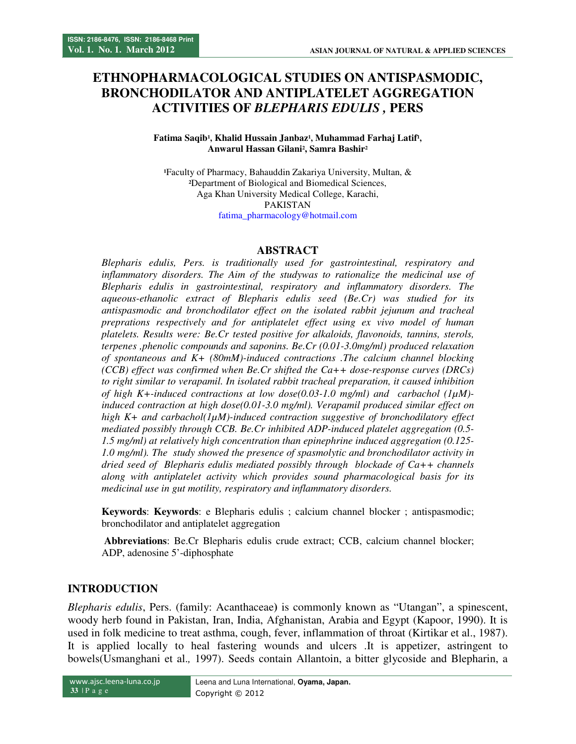# **ETHNOPHARMACOLOGICAL STUDIES ON ANTISPASMODIC, BRONCHODILATOR AND ANTIPLATELET AGGREGATION ACTIVITIES OF** *BLEPHARIS EDULIS ,* **PERS**

#### Fatima Saqib<sup>1</sup>, Khalid Hussain Janbaz<sup>1</sup>, Muhammad Farhaj Latif<sup>1</sup>, **Anwarul Hassan Gilani², Samra Bashir²**

**¹**Faculty of Pharmacy, Bahauddin Zakariya University, Multan, & **²**Department of Biological and Biomedical Sciences, Aga Khan University Medical College, Karachi, PAKISTAN

fatima\_pharmacology@hotmail.com

#### **ABSTRACT**

*Blepharis edulis, Pers. is traditionally used for gastrointestinal, respiratory and*  inflammatory disorders. The Aim of the studywas to rationalize the medicinal use of *Blepharis edulis in gastrointestinal, respiratory and inflammatory disorders. The aqueous-ethanolic extract of Blepharis edulis seed (Be.Cr) was studied for its antispasmodic and bronchodilator effect on the isolated rabbit jejunum and tracheal preprations respectively and for antiplatelet effect using ex vivo model of human platelets. Results were: Be.Cr tested positive for alkaloids, flavonoids, tannins, sterols, terpenes ,phenolic compounds and saponins. Be.Cr (0.01-3.0mg/ml) produced relaxation of spontaneous and K+ (80mM)-induced contractions .The calcium channel blocking (CCB) effect was confirmed when Be.Cr shifted the Ca++ dose-response curves (DRCs) to right similar to verapamil. In isolated rabbit tracheal preparation, it caused inhibition of high K+-induced contractions at low dose(0.03-1.0 mg/ml) and carbachol (1µM) induced contraction at high dose(0.01-3.0 mg/ml). Verapamil produced similar effect on high K+ and carbachol(1µM)-induced contraction suggestive of bronchodilatory effect mediated possibly through CCB. Be.Cr inhibited ADP-induced platelet aggregation (0.5- 1.5 mg/ml) at relatively high concentration than epinephrine induced aggregation (0.125- 1.0 mg/ml). The study showed the presence of spasmolytic and bronchodilator activity in dried seed of Blepharis edulis mediated possibly through blockade of Ca++ channels along with antiplatelet activity which provides sound pharmacological basis for its medicinal use in gut motility, respiratory and inflammatory disorders.* 

**Keywords**: **Keywords**: e Blepharis edulis ; calcium channel blocker ; antispasmodic; bronchodilator and antiplatelet aggregation

 **Abbreviations**: Be.Cr Blepharis edulis crude extract; CCB, calcium channel blocker; ADP, adenosine 5'-diphosphate

#### **INTRODUCTION**

*Blepharis edulis*, Pers. (family: Acanthaceae**)** is commonly known as "Utangan", a spinescent, woody herb found in Pakistan, Iran, India, Afghanistan, Arabia and Egypt (Kapoor, 1990). It is used in folk medicine to treat asthma, cough, fever, inflammation of throat (Kirtikar et al., 1987). It is applied locally to heal fastering wounds and ulcers .It is appetizer, astringent to bowels(Usmanghani et al.*,* 1997). Seeds contain Allantoin, a bitter glycoside and Blepharin, a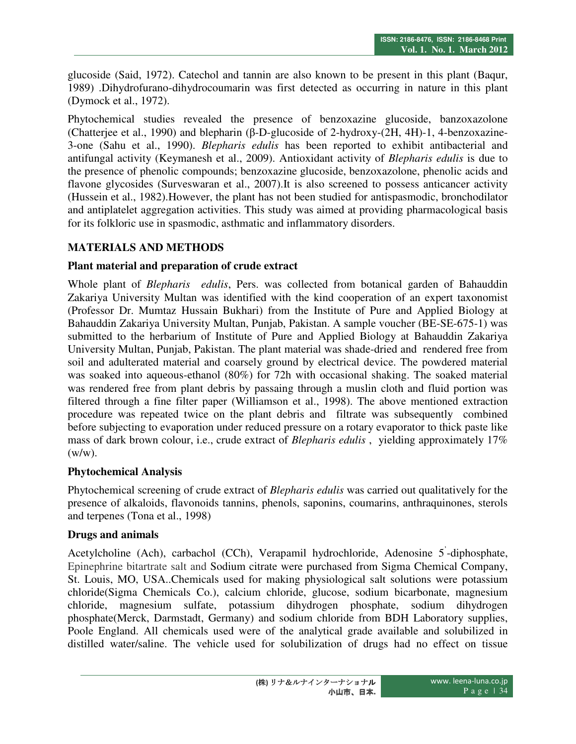glucoside (Said, 1972). Catechol and tannin are also known to be present in this plant (Baqur, 1989) .Dihydrofurano-dihydrocoumarin was first detected as occurring in nature in this plant (Dymock et al., 1972).

Phytochemical studies revealed the presence of benzoxazine glucoside, banzoxazolone (Chatterjee et al., 1990) and blepharin (β-D-glucoside of 2-hydroxy-(2H, 4H)-1, 4-benzoxazine-3-one (Sahu et al., 1990). *Blepharis edulis* has been reported to exhibit antibacterial and antifungal activity (Keymanesh et al., 2009). Antioxidant activity of *Blepharis edulis* is due to the presence of phenolic compounds; benzoxazine glucoside, benzoxazolone, phenolic acids and flavone glycosides (Surveswaran et al., 2007).It is also screened to possess anticancer activity (Hussein et al., 1982).However, the plant has not been studied for antispasmodic, bronchodilator and antiplatelet aggregation activities. This study was aimed at providing pharmacological basis for its folkloric use in spasmodic, asthmatic and inflammatory disorders.

### **MATERIALS AND METHODS**

### **Plant material and preparation of crude extract**

Whole plant of *Blepharis edulis*, Pers. was collected from botanical garden of Bahauddin Zakariya University Multan was identified with the kind cooperation of an expert taxonomist (Professor Dr. Mumtaz Hussain Bukhari) from the Institute of Pure and Applied Biology at Bahauddin Zakariya University Multan, Punjab, Pakistan. A sample voucher (BE-SE-675-1) was submitted to the herbarium of Institute of Pure and Applied Biology at Bahauddin Zakariya University Multan, Punjab, Pakistan. The plant material was shade-dried and rendered free from soil and adulterated material and coarsely ground by electrical device. The powdered material was soaked into aqueous-ethanol (80%) for 72h with occasional shaking. The soaked material was rendered free from plant debris by passaing through a muslin cloth and fluid portion was filtered through a fine filter paper (Williamson et al., 1998). The above mentioned extraction procedure was repeated twice on the plant debris and filtrate was subsequently combined before subjecting to evaporation under reduced pressure on a rotary evaporator to thick paste like mass of dark brown colour, i.e., crude extract of *Blepharis edulis* , yielding approximately 17%  $(w/w)$ .

### **Phytochemical Analysis**

Phytochemical screening of crude extract of *Blepharis edulis* was carried out qualitatively for the presence of alkaloids, flavonoids tannins, phenols, saponins, coumarins, anthraquinones, sterols and terpenes (Tona et al., 1998)

### **Drugs and animals**

Acetylcholine (Ach), carbachol (CCh), Verapamil hydrochloride, Adenosine 5' -diphosphate, Epinephrine bitartrate salt and Sodium citrate were purchased from Sigma Chemical Company, St. Louis, MO, USA..Chemicals used for making physiological salt solutions were potassium chloride(Sigma Chemicals Co.), calcium chloride, glucose, sodium bicarbonate, magnesium chloride, magnesium sulfate, potassium dihydrogen phosphate, sodium dihydrogen phosphate(Merck, Darmstadt, Germany) and sodium chloride from BDH Laboratory supplies, Poole England. All chemicals used were of the analytical grade available and solubilized in distilled water/saline. The vehicle used for solubilization of drugs had no effect on tissue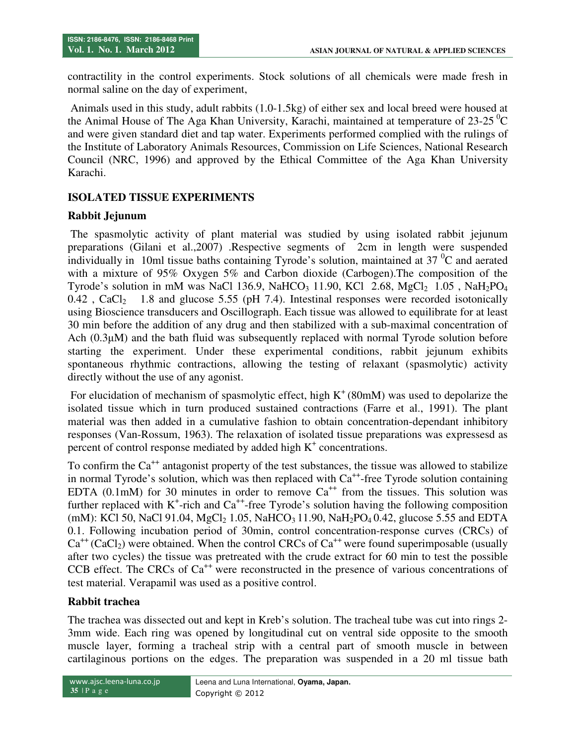contractility in the control experiments. Stock solutions of all chemicals were made fresh in normal saline on the day of experiment,

 Animals used in this study, adult rabbits (1.0-1.5kg) of either sex and local breed were housed at the Animal House of The Aga Khan University, Karachi, maintained at temperature of  $23{\text -}25\textdegree$ C and were given standard diet and tap water. Experiments performed complied with the rulings of the Institute of Laboratory Animals Resources, Commission on Life Sciences, National Research Council (NRC, 1996) and approved by the Ethical Committee of the Aga Khan University Karachi.

## **ISOLATED TISSUE EXPERIMENTS**

### **Rabbit Jejunum**

 The spasmolytic activity of plant material was studied by using isolated rabbit jejunum preparations (Gilani et al.,2007) .Respective segments of 2cm in length were suspended individually in 10ml tissue baths containing Tyrode's solution, maintained at  $37<sup>0</sup>C$  and aerated with a mixture of 95% Oxygen 5% and Carbon dioxide (Carbogen).The composition of the Tyrode's solution in mM was NaCl 136.9, NaHCO<sub>3</sub> 11.90, KCl 2.68, MgCl<sub>2</sub> 1.05, NaH<sub>2</sub>PO<sub>4</sub>  $0.42$ , CaCl<sub>2</sub> 1.8 and glucose 5.55 (pH 7.4). Intestinal responses were recorded isotonically using Bioscience transducers and Oscillograph. Each tissue was allowed to equilibrate for at least 30 min before the addition of any drug and then stabilized with a sub-maximal concentration of Ach (0.3µM) and the bath fluid was subsequently replaced with normal Tyrode solution before starting the experiment. Under these experimental conditions, rabbit jejunum exhibits spontaneous rhythmic contractions, allowing the testing of relaxant (spasmolytic) activity directly without the use of any agonist.

For elucidation of mechanism of spasmolytic effect, high  $K^+(80m)$  was used to depolarize the isolated tissue which in turn produced sustained contractions (Farre et al., 1991). The plant material was then added in a cumulative fashion to obtain concentration-dependant inhibitory responses (Van-Rossum, 1963). The relaxation of isolated tissue preparations was expressesd as percent of control response mediated by added high K<sup>+</sup> concentrations.

To confirm the  $Ca^{++}$  antagonist property of the test substances, the tissue was allowed to stabilize in normal Tyrode's solution, which was then replaced with  $Ca^{++}$ -free Tyrode solution containing EDTA (0.1mM) for 30 minutes in order to remove  $Ca^{++}$  from the tissues. This solution was further replaced with  $K^+$ -rich and  $Ca^{++}$ -free Tyrode's solution having the following composition (mM): KCl 50, NaCl 91.04, MgCl<sub>2</sub> 1.05, NaHCO<sub>3</sub> 11.90, NaH<sub>2</sub>PO<sub>4</sub> 0.42, glucose 5.55 and EDTA 0.1. Following incubation period of 30min, control concentration-response curves (CRCs) of  $Ca^{++}$  (CaCl<sub>2</sub>) were obtained. When the control CRCs of  $Ca^{++}$  were found superimposable (usually after two cycles) the tissue was pretreated with the crude extract for 60 min to test the possible CCB effect. The CRCs of  $Ca^{++}$  were reconstructed in the presence of various concentrations of test material. Verapamil was used as a positive control.

### **Rabbit trachea**

The trachea was dissected out and kept in Kreb's solution. The tracheal tube was cut into rings 2- 3mm wide. Each ring was opened by longitudinal cut on ventral side opposite to the smooth muscle layer, forming a tracheal strip with a central part of smooth muscle in between cartilaginous portions on the edges. The preparation was suspended in a 20 ml tissue bath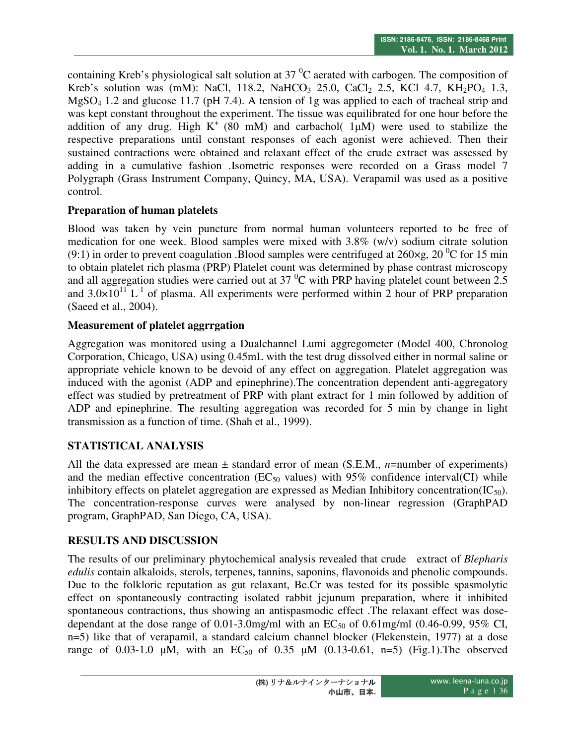containing Kreb's physiological salt solution at  $37<sup>0</sup>C$  aerated with carbogen. The composition of Kreb's solution was (mM): NaCl, 118.2, NaHCO<sub>3</sub> 25.0, CaCl<sub>2</sub> 2.5, KCl 4.7, KH<sub>2</sub>PO<sub>4</sub> 1.3, MgSO4 1.2 and glucose 11.7 (pH 7.4). A tension of 1g was applied to each of tracheal strip and was kept constant throughout the experiment. The tissue was equilibrated for one hour before the addition of any drug. High  $K^+$  (80 mM) and carbachol(  $1\mu$ M) were used to stabilize the respective preparations until constant responses of each agonist were achieved. Then their sustained contractions were obtained and relaxant effect of the crude extract was assessed by adding in a cumulative fashion .Isometric responses were recorded on a Grass model 7 Polygraph (Grass Instrument Company, Quincy, MA, USA). Verapamil was used as a positive control.

## **Preparation of human platelets**

Blood was taken by vein puncture from normal human volunteers reported to be free of medication for one week. Blood samples were mixed with 3.8% (w/v) sodium citrate solution (9:1) in order to prevent coagulation .Blood samples were centrifuged at  $260 \times g$ ,  $20\degree$ C for 15 min to obtain platelet rich plasma (PRP) Platelet count was determined by phase contrast microscopy and all aggregation studies were carried out at  $37<sup>0</sup>C$  with PRP having platelet count between 2.5 and  $3.0\times10^{11}$  L<sup>-1</sup> of plasma. All experiments were performed within 2 hour of PRP preparation (Saeed et al., 2004).

## **Measurement of platelet aggrrgation**

Aggregation was monitored using a Dualchannel Lumi aggregometer (Model 400, Chronolog Corporation, Chicago, USA) using 0.45mL with the test drug dissolved either in normal saline or appropriate vehicle known to be devoid of any effect on aggregation. Platelet aggregation was induced with the agonist (ADP and epinephrine).The concentration dependent anti-aggregatory effect was studied by pretreatment of PRP with plant extract for 1 min followed by addition of ADP and epinephrine. The resulting aggregation was recorded for 5 min by change in light transmission as a function of time. (Shah et al., 1999).

# **STATISTICAL ANALYSIS**

All the data expressed are mean ± standard error of mean (S.E.M., *n*=number of experiments) and the median effective concentration ( $EC_{50}$  values) with 95% confidence interval(CI) while inhibitory effects on platelet aggregation are expressed as Median Inhibitory concentration( $IC_{50}$ ). The concentration-response curves were analysed by non-linear regression (GraphPAD program, GraphPAD, San Diego, CA, USA).

# **RESULTS AND DISCUSSION**

The results of our preliminary phytochemical analysis revealed that crude extract of *Blepharis edulis* contain alkaloids, sterols, terpenes, tannins, saponins, flavonoids and phenolic compounds. Due to the folkloric reputation as gut relaxant, Be.Cr was tested for its possible spasmolytic effect on spontaneously contracting isolated rabbit jejunum preparation, where it inhibited spontaneous contractions, thus showing an antispasmodic effect .The relaxant effect was dosedependant at the dose range of 0.01-3.0mg/ml with an  $EC_{50}$  of 0.61mg/ml (0.46-0.99, 95% CI, n=5) like that of verapamil, a standard calcium channel blocker (Flekenstein, 1977) at a dose range of 0.03-1.0  $\mu$ M, with an EC<sub>50</sub> of 0.35  $\mu$ M (0.13-0.61, n=5) (Fig.1). The observed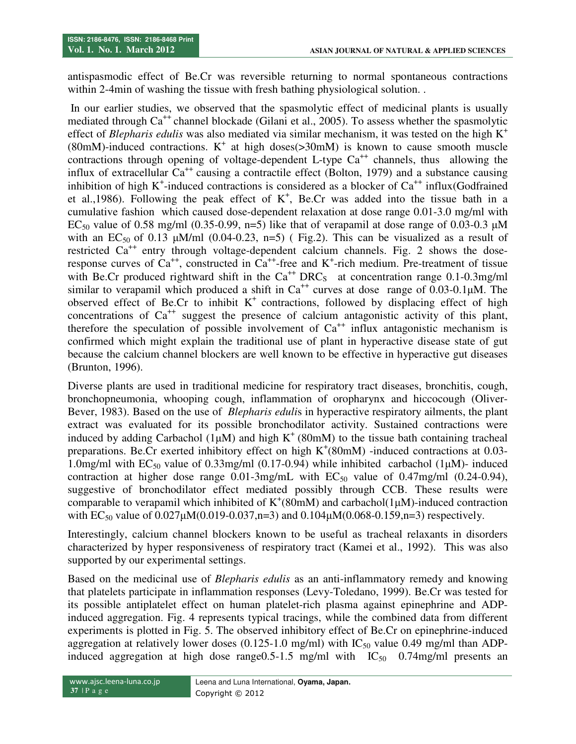antispasmodic effect of Be.Cr was reversible returning to normal spontaneous contractions within 2-4min of washing the tissue with fresh bathing physiological solution.

 In our earlier studies, we observed that the spasmolytic effect of medicinal plants is usually mediated through  $Ca^{++}$  channel blockade (Gilani et al., 2005). To assess whether the spasmolytic effect of *Blepharis edulis* was also mediated via similar mechanism, it was tested on the high K<sup>+</sup> (80mM)-induced contractions.  $K^+$  at high doses( $>$ 30mM) is known to cause smooth muscle contractions through opening of voltage-dependent L-type  $Ca^{++}$  channels, thus allowing the influx of extracellular  $Ca^{++}$  causing a contractile effect (Bolton, 1979) and a substance causing inhibition of high  $K^+$ -induced contractions is considered as a blocker of  $Ca^{++}$  influx(Godfrained et al.,1986). Following the peak effect of  $K^+$ , Be.Cr was added into the tissue bath in a cumulative fashion which caused dose-dependent relaxation at dose range 0.01-3.0 mg/ml with EC<sub>50</sub> value of 0.58 mg/ml (0.35-0.99, n=5) like that of verapamil at dose range of 0.03-0.3  $\mu$ M with an EC<sub>50</sub> of 0.13  $\mu$ M/ml (0.04-0.23, n=5) (Fig.2). This can be visualized as a result of restricted  $Ca^{++}$  entry through voltage-dependent calcium channels. Fig. 2 shows the doseresponse curves of  $Ca^{++}$ , constructed in  $Ca^{++}$ -free and K<sup>+</sup>-rich medium. Pre-treatment of tissue with Be.Cr produced rightward shift in the  $Ca^{++} DRC_S$  at concentration range 0.1-0.3mg/ml similar to verapamil which produced a shift in  $Ca^{++}$  curves at dose range of 0.03-0.1 $\mu$ M. The observed effect of Be.Cr to inhibit  $K^+$  contractions, followed by displacing effect of high concentrations of  $Ca^{++}$  suggest the presence of calcium antagonistic activity of this plant, therefore the speculation of possible involvement of  $Ca^{++}$  influx antagonistic mechanism is confirmed which might explain the traditional use of plant in hyperactive disease state of gut because the calcium channel blockers are well known to be effective in hyperactive gut diseases (Brunton, 1996).

Diverse plants are used in traditional medicine for respiratory tract diseases, bronchitis, cough, bronchopneumonia, whooping cough, inflammation of oropharynx and hiccocough (Oliver-Bever, 1983). Based on the use of *Blepharis eduli*s in hyperactive respiratory ailments, the plant extract was evaluated for its possible bronchodilator activity. Sustained contractions were induced by adding Carbachol (1 $\mu$ M) and high K<sup>+</sup> (80mM) to the tissue bath containing tracheal preparations. Be.Cr exerted inhibitory effect on high  $K^+(80m)$  -induced contractions at 0.03-1.0mg/ml with  $EC_{50}$  value of 0.33mg/ml (0.17-0.94) while inhibited carbachol (1 $\mu$ M)- induced contraction at higher dose range  $0.01\text{-}3$ mg/mL with  $EC_{50}$  value of  $0.47$ mg/ml  $(0.24\text{-}0.94)$ , suggestive of bronchodilator effect mediated possibly through CCB. These results were comparable to verapamil which inhibited of  $K^+(80m)$  and carbachol(1 $\mu$ M)-induced contraction with  $EC_{50}$  value of  $0.027 \mu M(0.019-0.037,n=3)$  and  $0.104 \mu M(0.068-0.159,n=3)$  respectively.

Interestingly, calcium channel blockers known to be useful as tracheal relaxants in disorders characterized by hyper responsiveness of respiratory tract (Kamei et al., 1992). This was also supported by our experimental settings.

Based on the medicinal use of *Blepharis edulis* as an anti-inflammatory remedy and knowing that platelets participate in inflammation responses (Levy-Toledano, 1999). Be.Cr was tested for its possible antiplatelet effect on human platelet-rich plasma against epinephrine and ADPinduced aggregation. Fig. 4 represents typical tracings, while the combined data from different experiments is plotted in Fig. 5. The observed inhibitory effect of Be.Cr on epinephrine-induced aggregation at relatively lower doses  $(0.125{\text -}1.0 \text{ mg/ml})$  with  $IC_{50}$  value 0.49 mg/ml than ADPinduced aggregation at high dose range $0.5$ -1.5 mg/ml with  $IC_{50}$  0.74mg/ml presents an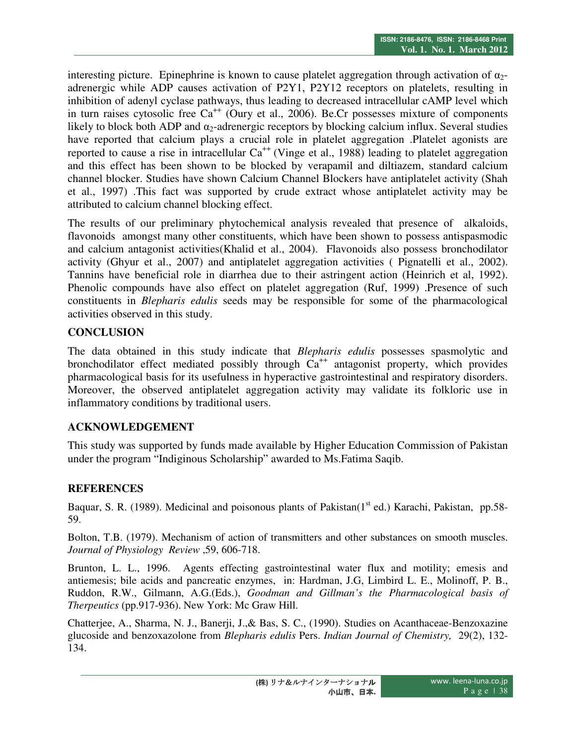interesting picture. Epinephrine is known to cause platelet aggregation through activation of  $\alpha_2$ adrenergic while ADP causes activation of P2Y1, P2Y12 receptors on platelets, resulting in inhibition of adenyl cyclase pathways, thus leading to decreased intracellular cAMP level which in turn raises cytosolic free  $Ca^{++}$  (Oury et al., 2006). Be.Cr possesses mixture of components likely to block both ADP and  $\alpha_2$ -adrenergic receptors by blocking calcium influx. Several studies have reported that calcium plays a crucial role in platelet aggregation .Platelet agonists are reported to cause a rise in intracellular  $Ca^{++}$  (Vinge et al., 1988) leading to platelet aggregation and this effect has been shown to be blocked by verapamil and diltiazem, standard calcium channel blocker. Studies have shown Calcium Channel Blockers have antiplatelet activity (Shah et al., 1997) .This fact was supported by crude extract whose antiplatelet activity may be attributed to calcium channel blocking effect.

The results of our preliminary phytochemical analysis revealed that presence of alkaloids, flavonoids amongst many other constituents, which have been shown to possess antispasmodic and calcium antagonist activities(Khalid et al., 2004). Flavonoids also possess bronchodilator activity (Ghyur et al., 2007) and antiplatelet aggregation activities ( Pignatelli et al., 2002). Tannins have beneficial role in diarrhea due to their astringent action (Heinrich et al, 1992). Phenolic compounds have also effect on platelet aggregation (Ruf, 1999) .Presence of such constituents in *Blepharis edulis* seeds may be responsible for some of the pharmacological activities observed in this study.

## **CONCLUSION**

The data obtained in this study indicate that *Blepharis edulis* possesses spasmolytic and bronchodilator effect mediated possibly through  $Ca^{++}$  antagonist property, which provides pharmacological basis for its usefulness in hyperactive gastrointestinal and respiratory disorders. Moreover, the observed antiplatelet aggregation activity may validate its folkloric use in inflammatory conditions by traditional users.

# **ACKNOWLEDGEMENT**

This study was supported by funds made available by Higher Education Commission of Pakistan under the program "Indiginous Scholarship" awarded to Ms.Fatima Saqib.

# **REFERENCES**

Baquar, S. R. (1989). Medicinal and poisonous plants of Pakistan(1<sup>st</sup> ed.) Karachi, Pakistan, pp.58-59.

Bolton, T.B. (1979). Mechanism of action of transmitters and other substances on smooth muscles. *Journal of Physiology Review* ,59, 606-718.

Brunton, L. L., 1996. Agents effecting gastrointestinal water flux and motility; emesis and antiemesis; bile acids and pancreatic enzymes, in: Hardman, J.G, Limbird L. E., Molinoff, P. B., Ruddon, R.W., Gilmann, A.G.(Eds.), *Goodman and Gillman's the Pharmacological basis of Therpeutics* (pp.917-936). New York: Mc Graw Hill.

Chatterjee, A., Sharma, N. J., Banerji, J.,& Bas, S. C., (1990). Studies on Acanthaceae-Benzoxazine glucoside and benzoxazolone from *Blepharis edulis* Pers. *Indian Journal of Chemistry,* 29(2), 132- 134.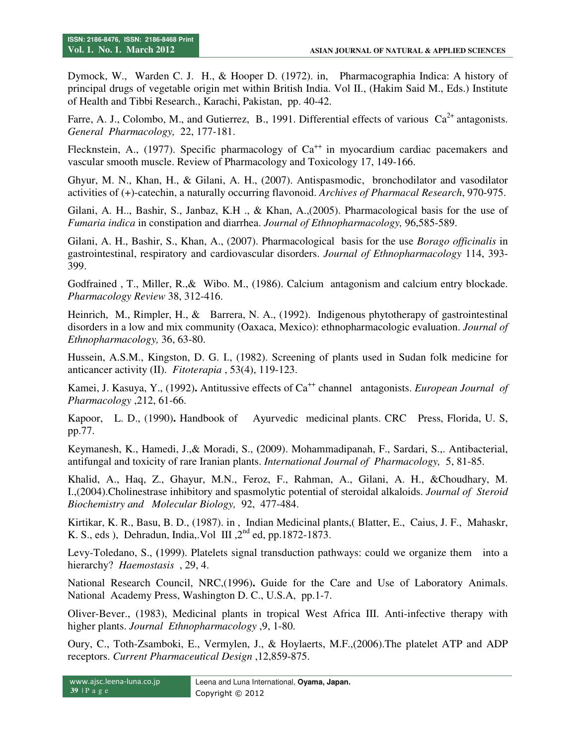Dymock, W., Warden C. J. H., & Hooper D. (1972). in, Pharmacographia Indica: A history of principal drugs of vegetable origin met within British India. Vol II., (Hakim Said M., Eds.) Institute of Health and Tibbi Research., Karachi, Pakistan, pp. 40-42.

Farre, A. J., Colombo, M., and Gutierrez, B., 1991. Differential effects of various  $Ca^{2+}$  antagonists. *General Pharmacology,* 22, 177-181.

Flecknstein, A., (1977). Specific pharmacology of  $Ca^{++}$  in myocardium cardiac pacemakers and vascular smooth muscle. Review of Pharmacology and Toxicology 17, 149-166.

Ghyur, M. N., Khan, H., & Gilani, A. H., (2007). Antispasmodic, bronchodilator and vasodilator activities of (+)-catechin, a naturally occurring flavonoid. *Archives of Pharmacal Research*, 970-975.

Gilani, A. H.., Bashir, S., Janbaz, K.H ., & Khan, A.,(2005). Pharmacological basis for the use of *Fumaria indica* in constipation and diarrhea. *Journal of Ethnopharmacology,* 96,585-589.

Gilani, A. H., Bashir, S., Khan, A., (2007). Pharmacological basis for the use *Borago officinalis* in gastrointestinal, respiratory and cardiovascular disorders. *Journal of Ethnopharmacology* 114, 393- 399.

Godfrained , T., Miller, R.,& Wibo. M., (1986). Calcium antagonism and calcium entry blockade. *Pharmacology Review* 38, 312-416.

Heinrich, M., Rimpler, H., & Barrera, N. A., (1992). Indigenous phytotherapy of gastrointestinal disorders in a low and mix community (Oaxaca, Mexico): ethnopharmacologic evaluation. *Journal of Ethnopharmacology,* 36, 63-80.

Hussein, A.S.M., Kingston, D. G. I., (1982). Screening of plants used in Sudan folk medicine for anticancer activity (II). *Fitoterapia* , 53(4), 119-123.

Kamei, J. Kasuya, Y., (1992). Antitussive effects of Ca<sup>++</sup> channel antagonists. *European Journal of Pharmacology* ,212, 61-66.

Kapoor, L. D., (1990)**.** Handbook of Ayurvedic medicinal plants. CRC Press, Florida, U. S, pp.77.

Keymanesh, K., Hamedi, J.,& Moradi, S., **(**2009). Mohammadipanah, F., Sardari, S.,. Antibacterial, antifungal and toxicity of rare Iranian plants. *International Journal of Pharmacology,* 5, 81-85.

Khalid, A., Haq, Z., Ghayur, M.N., Feroz, F., Rahman, A., Gilani, A. H., &Choudhary, M. I.,(2004).Cholinestrase inhibitory and spasmolytic potential of steroidal alkaloids. *Journal of Steroid Biochemistry and Molecular Biology,* 92, 477-484.

Kirtikar, K. R., Basu, B. D., (1987). in , Indian Medicinal plants,( Blatter, E., Caius, J. F., Mahaskr, K. S., eds ), Dehradun, India, Vol III,  $2<sup>nd</sup>$  ed, pp.1872-1873.

Levy-Toledano, S., **(**1999). Platelets signal transduction pathways: could we organize them into a hierarchy? *Haemostasis* , 29, 4.

National Research Council, NRC,(1996)**.** Guide for the Care and Use of Laboratory Animals. National Academy Press, Washington D. C., U.S.A, pp.1-7.

Oliver-Bever., (1983), Medicinal plants in tropical West Africa III. Anti-infective therapy with higher plants. *Journal Ethnopharmacology* ,9, 1-80.

Oury, C., Toth-Zsamboki, E., Vermylen, J., & Hoylaerts, M.F.,(2006).The platelet ATP and ADP receptors. *Current Pharmaceutical Design* ,12,859-875.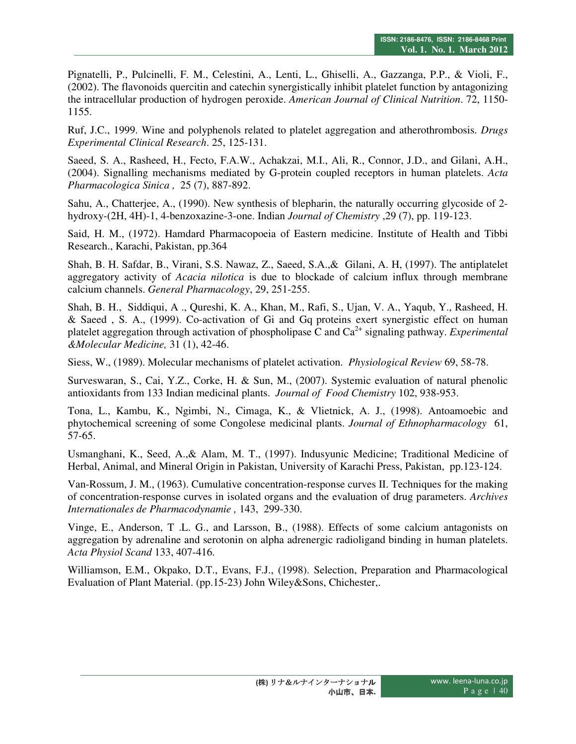Pignatelli, P., Pulcinelli, F. M., Celestini, A., Lenti, L., Ghiselli, A., Gazzanga, P.P., & Violi, F., (2002). The flavonoids quercitin and catechin synergistically inhibit platelet function by antagonizing the intracellular production of hydrogen peroxide. *American Journal of Clinical Nutrition*. 72, 1150- 1155.

Ruf, J.C., 1999. Wine and polyphenols related to platelet aggregation and atherothrombosis. *Drugs Experimental Clinical Research*. 25, 125-131.

Saeed, S. A., Rasheed, H., Fecto, F.A.W., Achakzai, M.I., Ali, R., Connor, J.D., and Gilani, A.H., (2004). Signalling mechanisms mediated by G-protein coupled receptors in human platelets. *Acta Pharmacologica Sinica ,* 25 (7), 887-892.

Sahu, A., Chatterjee, A., (1990). New synthesis of blepharin, the naturally occurring glycoside of 2 hydroxy-(2H, 4H)-1, 4-benzoxazine-3-one. Indian *Journal of Chemistry* ,29 (7), pp. 119-123.

Said, H. M., (1972). Hamdard Pharmacopoeia of Eastern medicine. Institute of Health and Tibbi Research., Karachi, Pakistan, pp.364

Shah, B. H. Safdar, B., Virani, S.S. Nawaz, Z., Saeed, S.A.,& Gilani, A. H, (1997). The antiplatelet aggregatory activity of *Acacia nilotica* is due to blockade of calcium influx through membrane calcium channels. *General Pharmacology*, 29, 251-255.

Shah, B. H., Siddiqui, A ., Qureshi, K. A., Khan, M., Rafi, S., Ujan, V. A., Yaqub, Y., Rasheed, H. & Saeed , S. A., (1999). Co-activation of Gi and Gq proteins exert synergistic effect on human platelet aggregation through activation of phospholipase C and  $Ca<sup>2+</sup>$  signaling pathway. *Experimental &Molecular Medicine,* 31 (1), 42-46.

Siess, W., (1989). Molecular mechanisms of platelet activation. *Physiological Review* 69, 58-78.

Surveswaran, S., Cai, Y.Z., Corke, H. & Sun, M., (2007). Systemic evaluation of natural phenolic antioxidants from 133 Indian medicinal plants. *Journal of Food Chemistry* 102, 938-953.

Tona, L., Kambu, K., Ngimbi, N., Cimaga, K., & Vlietnick, A. J., (1998). Antoamoebic and phytochemical screening of some Congolese medicinal plants. *Journal of Ethnopharmacology* 61, 57-65.

Usmanghani, K., Seed, A.,& Alam, M. T., (1997). Indusyunic Medicine; Traditional Medicine of Herbal, Animal, and Mineral Origin in Pakistan, University of Karachi Press, Pakistan, pp.123-124.

Van-Rossum, J. M., (1963). Cumulative concentration-response curves II. Techniques for the making of concentration-response curves in isolated organs and the evaluation of drug parameters. *Archives Internationales de Pharmacodynamie ,* 143, 299-330.

Vinge, E., Anderson, T .L. G., and Larsson, B., (1988). Effects of some calcium antagonists on aggregation by adrenaline and serotonin on alpha adrenergic radioligand binding in human platelets. *Acta Physiol Scand* 133, 407-416.

Williamson, E.M., Okpako, D.T., Evans, F.J., (1998). Selection, Preparation and Pharmacological Evaluation of Plant Material. (pp.15-23) John Wiley&Sons, Chichester,.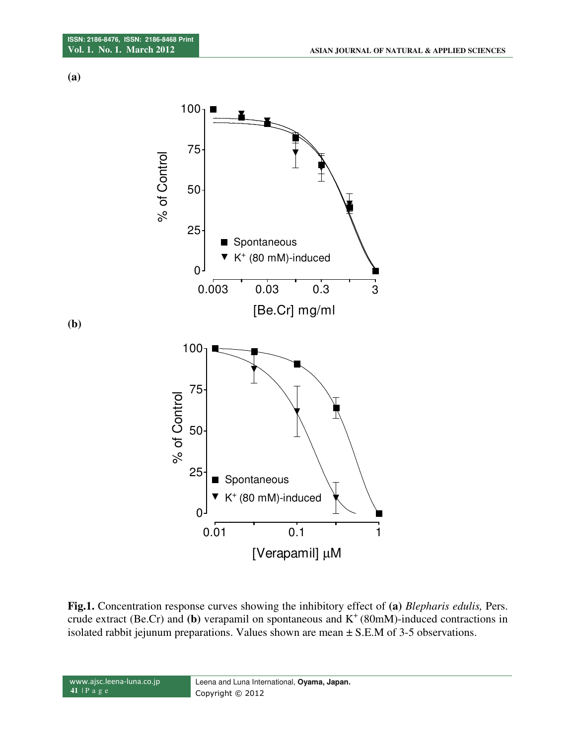**(a)** 



**Fig.1.** Concentration response curves showing the inhibitory effect of **(a)** *Blepharis edulis,* Pers. crude extract (Be.Cr) and (b) verapamil on spontaneous and  $K^+(80m)$ -induced contractions in isolated rabbit jejunum preparations. Values shown are mean  $\pm$  S.E.M of 3-5 observations.

 www.ajsc.leena-luna.co.jp **41** | P a g e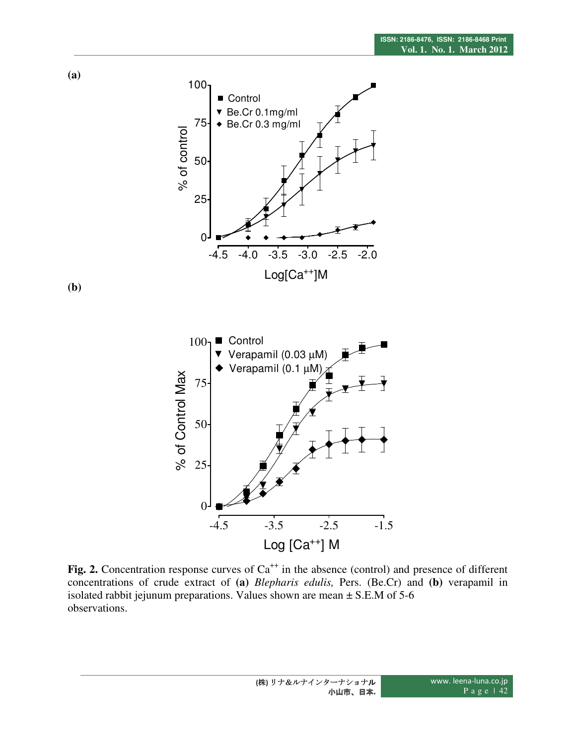

**Fig. 2.** Concentration response curves of  $Ca<sup>++</sup>$  in the absence (control) and presence of different concentrations of crude extract of **(a)** *Blepharis edulis,* Pers. (Be.Cr) and **(b)** verapamil in isolated rabbit jejunum preparations. Values shown are mean  $\pm$  S.E.M of 5-6 observations.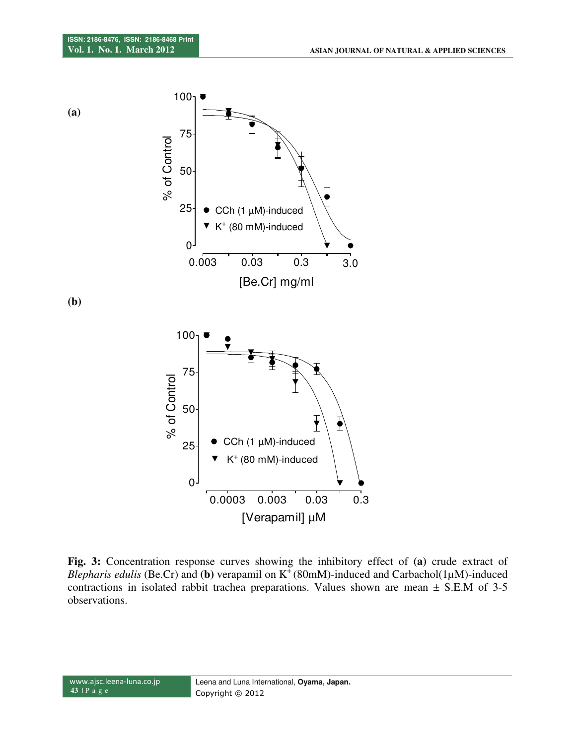

**Fig. 3:** Concentration response curves showing the inhibitory effect of **(a)** crude extract of *Blepharis edulis* (Be.Cr) and (b) verapamil on K<sup>+</sup>(80mM)-induced and Carbachol(1µM)-induced contractions in isolated rabbit trachea preparations. Values shown are mean ± S.E.M of 3-5 observations.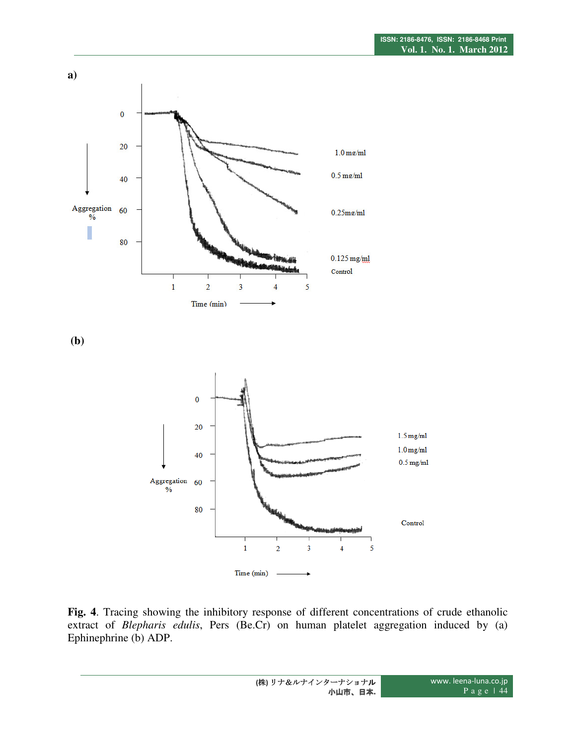

 **(b)** 



**Fig. 4**. Tracing showing the inhibitory response of different concentrations of crude ethanolic extract of *Blepharis edulis*, Pers (Be.Cr) on human platelet aggregation induced by (a) Ephinephrine (b) ADP.